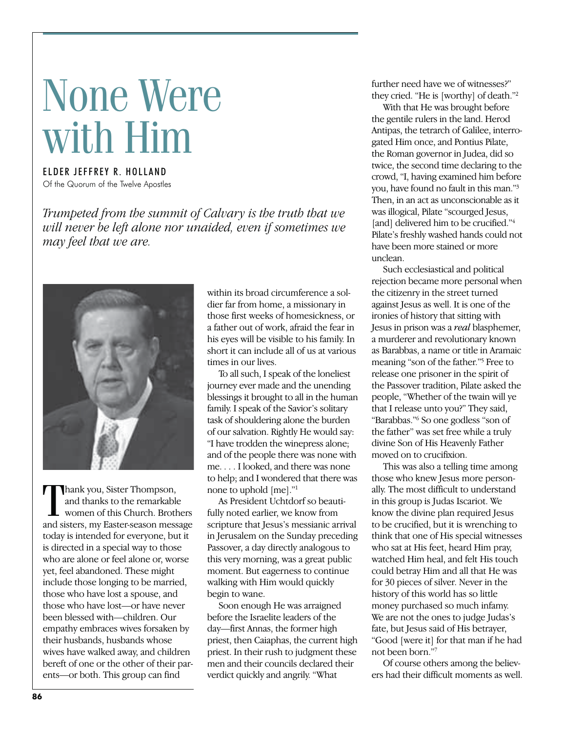## None Were with Him

ELDER JEFFREY R. HOLLAND Of the Quorum of the Twelve Apostles

*Trumpeted from the summit of Calvary is the truth that we will never be left alone nor unaided, even if sometimes we may feel that we are.*



Thank you, Sister Thompson,<br>and thanks to the remarkable<br>women of this Church. Brothers<br>and sisters, my Easter-season message hank you, Sister Thompson, and thanks to the remarkable women of this Church. Brothers today is intended for everyone, but it is directed in a special way to those who are alone or feel alone or, worse yet, feel abandoned. These might include those longing to be married, those who have lost a spouse, and those who have lost—or have never been blessed with—children. Our empathy embraces wives forsaken by their husbands, husbands whose wives have walked away, and children bereft of one or the other of their parents—or both. This group can find

within its broad circumference a soldier far from home, a missionary in those first weeks of homesickness, or a father out of work, afraid the fear in his eyes will be visible to his family. In short it can include all of us at various times in our lives.

To all such, I speak of the loneliest journey ever made and the unending blessings it brought to all in the human family. I speak of the Savior's solitary task of shouldering alone the burden of our salvation. Rightly He would say: "I have trodden the winepress alone; and of the people there was none with me. . . . I looked, and there was none to help; and I wondered that there was none to uphold [me]."1

As President Uchtdorf so beautifully noted earlier, we know from scripture that Jesus's messianic arrival in Jerusalem on the Sunday preceding Passover, a day directly analogous to this very morning, was a great public moment. But eagerness to continue walking with Him would quickly begin to wane.

Soon enough He was arraigned before the Israelite leaders of the day—first Annas, the former high priest, then Caiaphas, the current high priest. In their rush to judgment these men and their councils declared their verdict quickly and angrily. "What

further need have we of witnesses?" they cried. "He is [worthy] of death."2

With that He was brought before the gentile rulers in the land. Herod Antipas, the tetrarch of Galilee, interrogated Him once, and Pontius Pilate, the Roman governor in Judea, did so twice, the second time declaring to the crowd, "I, having examined him before you, have found no fault in this man."3 Then, in an act as unconscionable as it was illogical, Pilate "scourged Jesus, [and] delivered him to be crucified."4 Pilate's freshly washed hands could not have been more stained or more unclean.

Such ecclesiastical and political rejection became more personal when the citizenry in the street turned against Jesus as well. It is one of the ironies of history that sitting with Jesus in prison was a *real* blasphemer, a murderer and revolutionary known as Barabbas, a name or title in Aramaic meaning "son of the father."5 Free to release one prisoner in the spirit of the Passover tradition, Pilate asked the people, "Whether of the twain will ye that I release unto you?" They said, "Barabbas."6 So one godless "son of the father" was set free while a truly divine Son of His Heavenly Father moved on to crucifixion.

This was also a telling time among those who knew Jesus more personally. The most difficult to understand in this group is Judas Iscariot. We know the divine plan required Jesus to be crucified, but it is wrenching to think that one of His special witnesses who sat at His feet, heard Him pray, watched Him heal, and felt His touch could betray Him and all that He was for 30 pieces of silver. Never in the history of this world has so little money purchased so much infamy. We are not the ones to judge Judas's fate, but Jesus said of His betrayer, "Good [were it] for that man if he had not been born."7

Of course others among the believers had their difficult moments as well.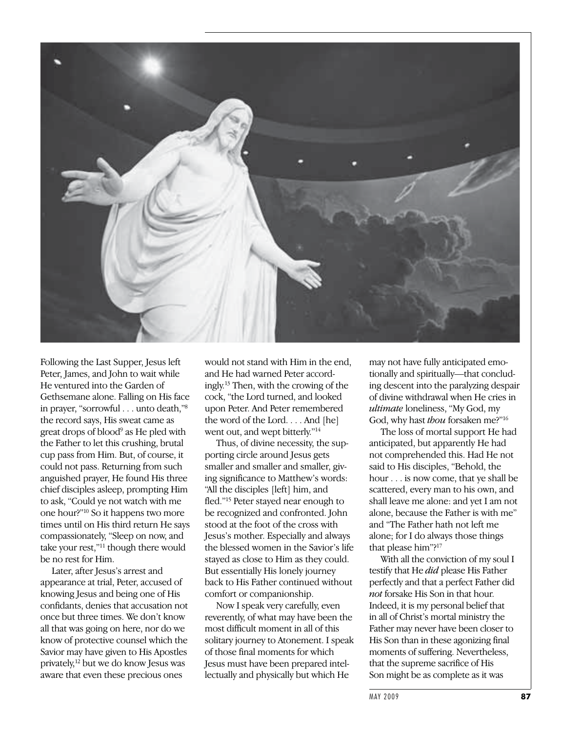

Following the Last Supper, Jesus left Peter, James, and John to wait while He ventured into the Garden of Gethsemane alone. Falling on His face in prayer, "sorrowful . . . unto death,"8 the record says, His sweat came as great drops of blood9 as He pled with the Father to let this crushing, brutal cup pass from Him. But, of course, it could not pass. Returning from such anguished prayer, He found His three chief disciples asleep, prompting Him to ask, "Could ye not watch with me one hour?"10 So it happens two more times until on His third return He says compassionately, "Sleep on now, and take your rest,"11 though there would be no rest for Him.

Later, after Jesus's arrest and appearance at trial, Peter, accused of knowing Jesus and being one of His confidants, denies that accusation not once but three times. We don't know all that was going on here, nor do we know of protective counsel which the Savior may have given to His Apostles privately,12 but we do know Jesus was aware that even these precious ones

would not stand with Him in the end, and He had warned Peter accordingly.13 Then, with the crowing of the cock, "the Lord turned, and looked upon Peter. And Peter remembered the word of the Lord. . . . And [he] went out, and wept bitterly."14

Thus, of divine necessity, the supporting circle around Jesus gets smaller and smaller and smaller, giving significance to Matthew's words: "All the disciples [left] him, and fled."15 Peter stayed near enough to be recognized and confronted. John stood at the foot of the cross with Jesus's mother. Especially and always the blessed women in the Savior's life stayed as close to Him as they could. But essentially His lonely journey back to His Father continued without comfort or companionship.

Now I speak very carefully, even reverently, of what may have been the most difficult moment in all of this solitary journey to Atonement. I speak of those final moments for which Jesus must have been prepared intellectually and physically but which He

may not have fully anticipated emotionally and spiritually—that concluding descent into the paralyzing despair of divine withdrawal when He cries in *ultimate* loneliness, "My God, my God, why hast *thou* forsaken me?"16

The loss of mortal support He had anticipated, but apparently He had not comprehended this. Had He not said to His disciples, "Behold, the hour . . . is now come, that ye shall be scattered, every man to his own, and shall leave me alone: and yet I am not alone, because the Father is with me" and "The Father hath not left me alone; for I do always those things that please him"?17

With all the conviction of my soul I testify that He *did* please His Father perfectly and that a perfect Father did *not* forsake His Son in that hour. Indeed, it is my personal belief that in all of Christ's mortal ministry the Father may never have been closer to His Son than in these agonizing final moments of suffering. Nevertheless, that the supreme sacrifice of His Son might be as complete as it was